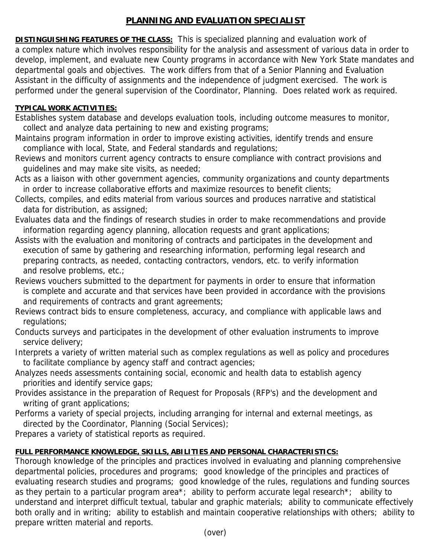## **PLANNING AND EVALUATION SPECIALIST**

**DISTINGUISHING FEATURES OF THE CLASS:** This is specialized planning and evaluation work of a complex nature which involves responsibility for the analysis and assessment of various data in order to develop, implement, and evaluate new County programs in accordance with New York State mandates and departmental goals and objectives. The work differs from that of a Senior Planning and Evaluation Assistant in the difficulty of assignments and the independence of judgment exercised. The work is performed under the general supervision of the Coordinator, Planning. Does related work as required.

## **TYPICAL WORK ACTIVITIES:**

- Establishes system database and develops evaluation tools, including outcome measures to monitor, collect and analyze data pertaining to new and existing programs;
- Maintains program information in order to improve existing activities, identify trends and ensure compliance with local, State, and Federal standards and regulations;
- Reviews and monitors current agency contracts to ensure compliance with contract provisions and guidelines and may make site visits, as needed;
- Acts as a liaison with other government agencies, community organizations and county departments in order to increase collaborative efforts and maximize resources to benefit clients;
- Collects, compiles, and edits material from various sources and produces narrative and statistical data for distribution, as assigned;
- Evaluates data and the findings of research studies in order to make recommendations and provide information regarding agency planning, allocation requests and grant applications;
- Assists with the evaluation and monitoring of contracts and participates in the development and execution of same by gathering and researching information, performing legal research and preparing contracts, as needed, contacting contractors, vendors, etc. to verify information and resolve problems, etc.;
- Reviews vouchers submitted to the department for payments in order to ensure that information is complete and accurate and that services have been provided in accordance with the provisions and requirements of contracts and grant agreements;
- Reviews contract bids to ensure completeness, accuracy, and compliance with applicable laws and regulations;
- Conducts surveys and participates in the development of other evaluation instruments to improve service delivery;
- Interprets a variety of written material such as complex regulations as well as policy and procedures to facilitate compliance by agency staff and contract agencies;
- Analyzes needs assessments containing social, economic and health data to establish agency priorities and identify service gaps;
- Provides assistance in the preparation of Request for Proposals (RFP's) and the development and writing of grant applications;
- Performs a variety of special projects, including arranging for internal and external meetings, as directed by the Coordinator, Planning (Social Services);

Prepares a variety of statistical reports as required.

## **FULL PERFORMANCE KNOWLEDGE, SKILLS, ABILITIES AND PERSONAL CHARACTERISTICS:**

Thorough knowledge of the principles and practices involved in evaluating and planning comprehensive departmental policies, procedures and programs; good knowledge of the principles and practices of evaluating research studies and programs; good knowledge of the rules, regulations and funding sources as they pertain to a particular program area\*; ability to perform accurate legal research\*; ability to understand and interpret difficult textual, tabular and graphic materials; ability to communicate effectively both orally and in writing; ability to establish and maintain cooperative relationships with others; ability to prepare written material and reports.